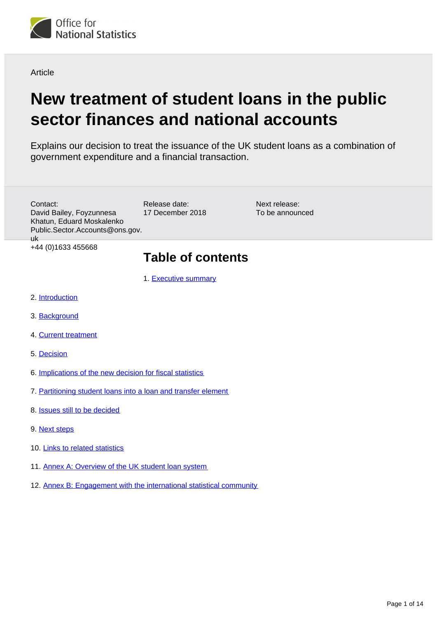<span id="page-0-0"></span>

Article

# **New treatment of student loans in the public sector finances and national accounts**

Explains our decision to treat the issuance of the UK student loans as a combination of government expenditure and a financial transaction.

| Contact:<br>David Bailey, Foyzunnesa<br>Khatun, Eduard Moskalenko<br>Public.Sector.Accounts@ons.gov.<br>uk. | Release date:<br>17 December 2018 | Next release:<br>To be announced |  |  |
|-------------------------------------------------------------------------------------------------------------|-----------------------------------|----------------------------------|--|--|
| +44 (0) 1633 455668                                                                                         | <b>Table of contents</b>          |                                  |  |  |
|                                                                                                             | 1. Executive summary              |                                  |  |  |
| 2. Introduction                                                                                             |                                   |                                  |  |  |
| 3. Background                                                                                               |                                   |                                  |  |  |
| 4. Current treatment                                                                                        |                                   |                                  |  |  |

- 5. [Decision](#page-4-0)
- 6. [Implications of the new decision for fiscal statistics](#page-6-0)
- 7. [Partitioning student loans into a loan and transfer element](#page-7-0)
- 8. [Issues still to be decided](#page-8-0)
- 9. [Next steps](#page-9-0)
- 10. [Links to related statistics](#page-10-0)
- 11. [Annex A: Overview of the UK student loan system](#page-10-1)
- 12. [Annex B: Engagement with the international statistical community](#page-12-0)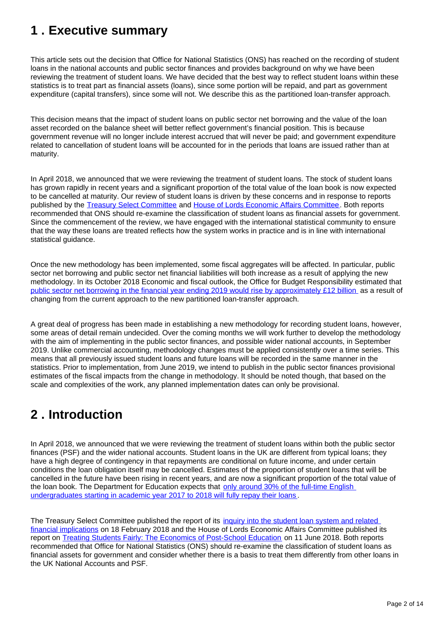## <span id="page-1-0"></span>**1 . Executive summary**

This article sets out the decision that Office for National Statistics (ONS) has reached on the recording of student loans in the national accounts and public sector finances and provides background on why we have been reviewing the treatment of student loans. We have decided that the best way to reflect student loans within these statistics is to treat part as financial assets (loans), since some portion will be repaid, and part as government expenditure (capital transfers), since some will not. We describe this as the partitioned loan-transfer approach.

This decision means that the impact of student loans on public sector net borrowing and the value of the loan asset recorded on the balance sheet will better reflect government's financial position. This is because government revenue will no longer include interest accrued that will never be paid; and government expenditure related to cancellation of student loans will be accounted for in the periods that loans are issued rather than at maturity.

In April 2018, we announced that we were reviewing the treatment of student loans. The stock of student loans has grown rapidly in recent years and a significant proportion of the total value of the loan book is now expected to be cancelled at maturity. Our review of student loans is driven by these concerns and in response to reports published by the [Treasury Select Committee](https://www.parliament.uk/business/committees/committees-a-z/commons-select/treasury-committee/news-parliament-2017/student-loans-report-published-17-19/) and [House of Lords Economic Affairs Committee.](https://publications.parliament.uk/pa/ld201719/ldselect/ldeconaf/139/139.pdf) Both reports recommended that ONS should re-examine the classification of student loans as financial assets for government. Since the commencement of the review, we have engaged with the international statistical community to ensure that the way these loans are treated reflects how the system works in practice and is in line with international statistical guidance.

Once the new methodology has been implemented, some fiscal aggregates will be affected. In particular, public sector net borrowing and public sector net financial liabilities will both increase as a result of applying the new methodology. In its October 2018 Economic and fiscal outlook, the Office for Budget Responsibility estimated that [public sector net borrowing in the financial year ending 2019 would rise by approximately £12 billion](https://obr.uk/efo/economic-fiscal-outlook-october-2018/) as a result of changing from the current approach to the new partitioned loan-transfer approach.

A great deal of progress has been made in establishing a new methodology for recording student loans, however, some areas of detail remain undecided. Over the coming months we will work further to develop the methodology with the aim of implementing in the public sector finances, and possible wider national accounts, in September 2019. Unlike commercial accounting, methodology changes must be applied consistently over a time series. This means that all previously issued student loans and future loans will be recorded in the same manner in the statistics. Prior to implementation, from June 2019, we intend to publish in the public sector finances provisional estimates of the fiscal impacts from the change in methodology. It should be noted though, that based on the scale and complexities of the work, any planned implementation dates can only be provisional.

## <span id="page-1-1"></span>**2 . Introduction**

In April 2018, we announced that we were reviewing the treatment of student loans within both the public sector finances (PSF) and the wider national accounts. Student loans in the UK are different from typical loans; they have a high degree of contingency in that repayments are conditional on future income, and under certain conditions the loan obligation itself may be cancelled. Estimates of the proportion of student loans that will be cancelled in the future have been rising in recent years, and are now a significant proportion of the total value of the loan book. The Department for Education expects that [only around 30% of the full-time English](https://www.gov.uk/government/statistics/student-loan-forecasts-england-2017-to-2018)  [undergraduates starting in academic year 2017 to 2018 will fully repay their loans](https://www.gov.uk/government/statistics/student-loan-forecasts-england-2017-to-2018) .

The Treasury Select Committee published the report of its [inquiry into the student loan system and related](https://www.parliament.uk/business/committees/committees-a-z/commons-select/treasury-committee/news-parliament-2017/student-loans-report-published-17-19/)  [financial implications](https://www.parliament.uk/business/committees/committees-a-z/commons-select/treasury-committee/news-parliament-2017/student-loans-report-published-17-19/) on 18 February 2018 and the House of Lords Economic Affairs Committee published its report on [Treating Students Fairly: The Economics of Post-School Education](https://publications.parliament.uk/pa/ld201719/ldselect/ldeconaf/139/139.pdf) on 11 June 2018. Both reports recommended that Office for National Statistics (ONS) should re-examine the classification of student loans as financial assets for government and consider whether there is a basis to treat them differently from other loans in the UK National Accounts and PSF.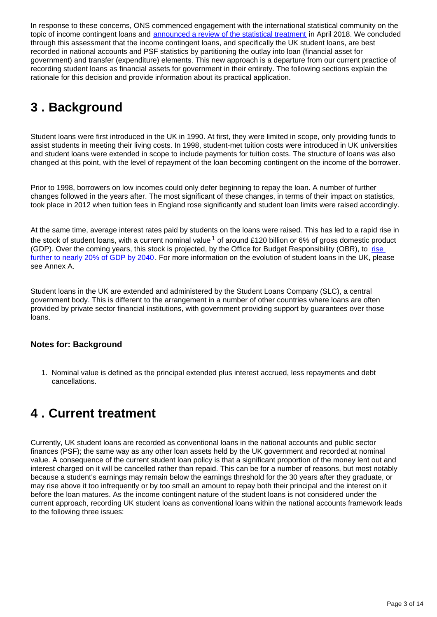In response to these concerns, ONS commenced engagement with the international statistical community on the topic of income contingent loans and [announced a review of the statistical treatment](https://www.ons.gov.uk/news/statementsandletters/saleofstudentloans) in April 2018. We concluded through this assessment that the income contingent loans, and specifically the UK student loans, are best recorded in national accounts and PSF statistics by partitioning the outlay into loan (financial asset for government) and transfer (expenditure) elements. This new approach is a departure from our current practice of recording student loans as financial assets for government in their entirety. The following sections explain the rationale for this decision and provide information about its practical application.

## <span id="page-2-0"></span>**3 . Background**

Student loans were first introduced in the UK in 1990. At first, they were limited in scope, only providing funds to assist students in meeting their living costs. In 1998, student-met tuition costs were introduced in UK universities and student loans were extended in scope to include payments for tuition costs. The structure of loans was also changed at this point, with the level of repayment of the loan becoming contingent on the income of the borrower.

Prior to 1998, borrowers on low incomes could only defer beginning to repay the loan. A number of further changes followed in the years after. The most significant of these changes, in terms of their impact on statistics, took place in 2012 when tuition fees in England rose significantly and student loan limits were raised accordingly.

At the same time, average interest rates paid by students on the loans were raised. This has led to a rapid rise in the stock of student loans, with a current nominal value  $1$  of around £120 billion or 6% of gross domestic product (GDP). Over the coming years, this stock is projected, by the Office for Budget Responsibility (OBR), to rise [further to nearly 20% of GDP by 2040.](https://obr.uk/student-loans-and-fiscal-illusions/) For more information on the evolution of student loans in the UK, please see Annex A.

Student loans in the UK are extended and administered by the Student Loans Company (SLC), a central government body. This is different to the arrangement in a number of other countries where loans are often provided by private sector financial institutions, with government providing support by guarantees over those loans.

#### **Notes for: Background**

1. Nominal value is defined as the principal extended plus interest accrued, less repayments and debt cancellations.

## <span id="page-2-1"></span>**4 . Current treatment**

Currently, UK student loans are recorded as conventional loans in the national accounts and public sector finances (PSF); the same way as any other loan assets held by the UK government and recorded at nominal value. A consequence of the current student loan policy is that a significant proportion of the money lent out and interest charged on it will be cancelled rather than repaid. This can be for a number of reasons, but most notably because a student's earnings may remain below the earnings threshold for the 30 years after they graduate, or may rise above it too infrequently or by too small an amount to repay both their principal and the interest on it before the loan matures. As the income contingent nature of the student loans is not considered under the current approach, recording UK student loans as conventional loans within the national accounts framework leads to the following three issues: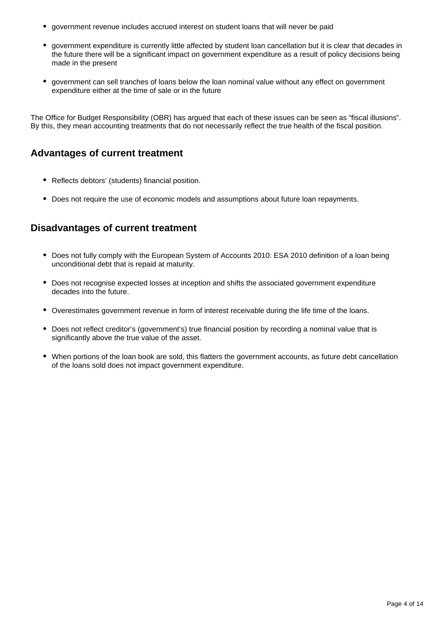- government revenue includes accrued interest on student loans that will never be paid
- government expenditure is currently little affected by student loan cancellation but it is clear that decades in the future there will be a significant impact on government expenditure as a result of policy decisions being made in the present
- government can sell tranches of loans below the loan nominal value without any effect on government expenditure either at the time of sale or in the future

The Office for Budget Responsibility (OBR) has argued that each of these issues can be seen as "fiscal illusions". By this, they mean accounting treatments that do not necessarily reflect the true health of the fiscal position.

### **Advantages of current treatment**

- Reflects debtors' (students) financial position.
- Does not require the use of economic models and assumptions about future loan repayments.

### **Disadvantages of current treatment**

- Does not fully comply with the European System of Accounts 2010: ESA 2010 definition of a loan being unconditional debt that is repaid at maturity.
- Does not recognise expected losses at inception and shifts the associated government expenditure decades into the future.
- Overestimates government revenue in form of interest receivable during the life time of the loans.
- Does not reflect creditor's (government's) true financial position by recording a nominal value that is significantly above the true value of the asset.
- When portions of the loan book are sold, this flatters the government accounts, as future debt cancellation of the loans sold does not impact government expenditure.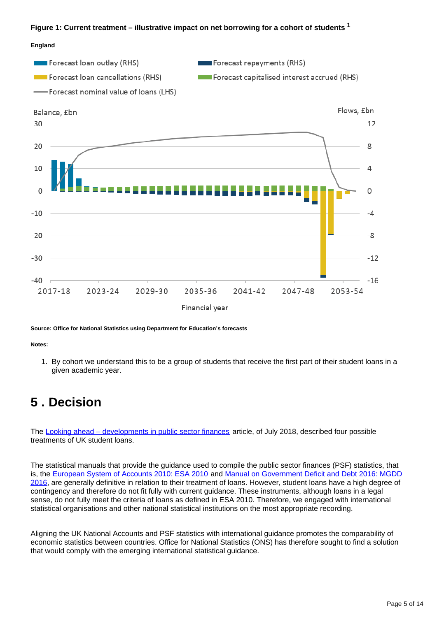#### **Figure 1: Current treatment – illustrative impact on net borrowing for a cohort of students <sup>1</sup>**

#### **England**



**Source: Office for National Statistics using Department for Education's forecasts**

#### **Notes:**

1. By cohort we understand this to be a group of students that receive the first part of their student loans in a given academic year.

### <span id="page-4-0"></span>**5 . Decision**

The [Looking ahead – developments in public sector finances](https://www.ons.gov.uk/economy/governmentpublicsectorandtaxes/publicsectorfinance/articles/lookingaheaddevelopmentsinpublicsectorfinancestatistics/2018) article, of July 2018, described four possible treatments of UK student loans.

The statistical manuals that provide the guidance used to compile the public sector finances (PSF) statistics, that is, the [European System of Accounts 2010: ESA 2010](https://ec.europa.eu/eurostat/web/esa-2010) and Manual on Government Deficit and Debt 2016: MGDD [2016](https://ec.europa.eu/eurostat/web/products-manuals-and-guidelines/-/KS-GQ-16-001), are generally definitive in relation to their treatment of loans. However, student loans have a high degree of contingency and therefore do not fit fully with current guidance. These instruments, although loans in a legal sense, do not fully meet the criteria of loans as defined in ESA 2010. Therefore, we engaged with international statistical organisations and other national statistical institutions on the most appropriate recording.

Aligning the UK National Accounts and PSF statistics with international guidance promotes the comparability of economic statistics between countries. Office for National Statistics (ONS) has therefore sought to find a solution that would comply with the emerging international statistical guidance.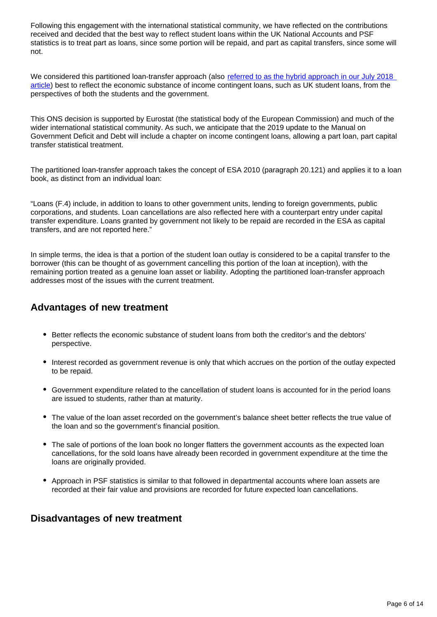Following this engagement with the international statistical community, we have reflected on the contributions received and decided that the best way to reflect student loans within the UK National Accounts and PSF statistics is to treat part as loans, since some portion will be repaid, and part as capital transfers, since some will not.

We considered this partitioned loan-transfer approach (also referred to as the hybrid approach in our July 2018 [article\)](https://www.ons.gov.uk/economy/governmentpublicsectorandtaxes/publicsectorfinance/articles/lookingaheaddevelopmentsinpublicsectorfinancestatistics/2018) best to reflect the economic substance of income contingent loans, such as UK student loans, from the perspectives of both the students and the government.

This ONS decision is supported by Eurostat (the statistical body of the European Commission) and much of the wider international statistical community. As such, we anticipate that the 2019 update to the Manual on Government Deficit and Debt will include a chapter on income contingent loans, allowing a part loan, part capital transfer statistical treatment.

The partitioned loan-transfer approach takes the concept of ESA 2010 (paragraph 20.121) and applies it to a loan book, as distinct from an individual loan:

"Loans (F.4) include, in addition to loans to other government units, lending to foreign governments, public corporations, and students. Loan cancellations are also reflected here with a counterpart entry under capital transfer expenditure. Loans granted by government not likely to be repaid are recorded in the ESA as capital transfers, and are not reported here."

In simple terms, the idea is that a portion of the student loan outlay is considered to be a capital transfer to the borrower (this can be thought of as government cancelling this portion of the loan at inception), with the remaining portion treated as a genuine loan asset or liability. Adopting the partitioned loan-transfer approach addresses most of the issues with the current treatment.

### **Advantages of new treatment**

- Better reflects the economic substance of student loans from both the creditor's and the debtors' perspective.
- Interest recorded as government revenue is only that which accrues on the portion of the outlay expected to be repaid.
- Government expenditure related to the cancellation of student loans is accounted for in the period loans are issued to students, rather than at maturity.
- The value of the loan asset recorded on the government's balance sheet better reflects the true value of the loan and so the government's financial position.
- The sale of portions of the loan book no longer flatters the government accounts as the expected loan cancellations, for the sold loans have already been recorded in government expenditure at the time the loans are originally provided.
- Approach in PSF statistics is similar to that followed in departmental accounts where loan assets are recorded at their fair value and provisions are recorded for future expected loan cancellations.

#### **Disadvantages of new treatment**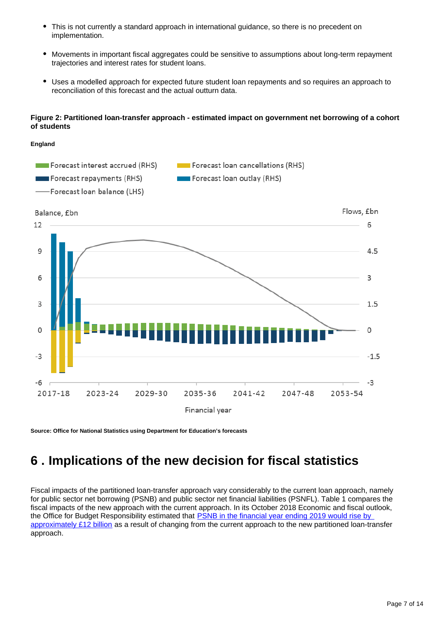- $\bullet$ This is not currently a standard approach in international guidance, so there is no precedent on implementation.
- Movements in important fiscal aggregates could be sensitive to assumptions about long-term repayment trajectories and interest rates for student loans.
- Uses a modelled approach for expected future student loan repayments and so requires an approach to reconciliation of this forecast and the actual outturn data.

#### **Figure 2: Partitioned loan-transfer approach - estimated impact on government net borrowing of a cohort of students**



**Source: Office for National Statistics using Department for Education's forecasts**

## <span id="page-6-0"></span>**6 . Implications of the new decision for fiscal statistics**

Fiscal impacts of the partitioned loan-transfer approach vary considerably to the current loan approach, namely for public sector net borrowing (PSNB) and public sector net financial liabilities (PSNFL). Table 1 compares the fiscal impacts of the new approach with the current approach. In its October 2018 Economic and fiscal outlook, the Office for Budget Responsibility estimated that **PSNB** in the financial year ending 2019 would rise by [approximately £12 billion](https://obr.uk/efo/economic-fiscal-outlook-october-2018/) as a result of changing from the current approach to the new partitioned loan-transfer approach.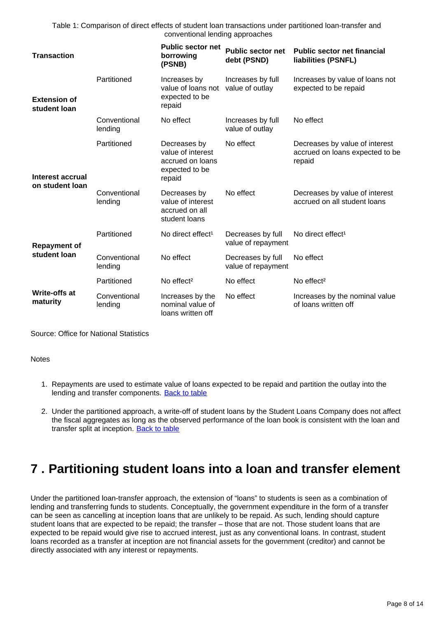Table 1: Comparison of direct effects of student loan transactions under partitioned loan-transfer and conventional lending approaches

| <b>Transaction</b>                  |                         | <b>Public sector net</b><br>borrowing<br>(PSNB)                                   | <b>Public sector net</b><br>debt (PSND) | <b>Public sector net financial</b><br>liabilities (PSNFL)                   |
|-------------------------------------|-------------------------|-----------------------------------------------------------------------------------|-----------------------------------------|-----------------------------------------------------------------------------|
| <b>Extension of</b><br>student loan | Partitioned             | Increases by<br>value of loans not<br>expected to be<br>repaid                    | Increases by full<br>value of outlay    | Increases by value of loans not<br>expected to be repaid                    |
|                                     | Conventional<br>lending | No effect                                                                         | Increases by full<br>value of outlay    | No effect                                                                   |
| Interest accrual<br>on student loan | Partitioned             | Decreases by<br>value of interest<br>accrued on loans<br>expected to be<br>repaid | No effect                               | Decreases by value of interest<br>accrued on loans expected to be<br>repaid |
|                                     | Conventional<br>lending | Decreases by<br>value of interest<br>accrued on all<br>student loans              | No effect                               | Decreases by value of interest<br>accrued on all student loans              |
| <b>Repayment of</b><br>student loan | Partitioned             | No direct effect <sup>1</sup>                                                     | Decreases by full<br>value of repayment | No direct effect <sup>1</sup>                                               |
|                                     | Conventional<br>lending | No effect                                                                         | Decreases by full<br>value of repayment | No effect                                                                   |
|                                     | Partitioned             | No effect <sup>2</sup>                                                            | No effect                               | No effect <sup>2</sup>                                                      |
| <b>Write-offs at</b><br>maturity    | Conventional<br>lending | Increases by the<br>nominal value of<br>loans written off                         | No effect                               | Increases by the nominal value<br>of loans written off                      |

Source: Office for National Statistics

#### **Notes**

- 1. Repayments are used to estimate value of loans expected to be repaid and partition the outlay into the lending and transfer components. [Back to table](#page-0-0)
- 2. Under the partitioned approach, a write-off of student loans by the Student Loans Company does not affect the fiscal aggregates as long as the observed performance of the loan book is consistent with the loan and transfer split at inception. [Back to table](#page-0-0)

### <span id="page-7-0"></span>**7 . Partitioning student loans into a loan and transfer element**

Under the partitioned loan-transfer approach, the extension of "loans" to students is seen as a combination of lending and transferring funds to students. Conceptually, the government expenditure in the form of a transfer can be seen as cancelling at inception loans that are unlikely to be repaid. As such, lending should capture student loans that are expected to be repaid; the transfer – those that are not. Those student loans that are expected to be repaid would give rise to accrued interest, just as any conventional loans. In contrast, student loans recorded as a transfer at inception are not financial assets for the government (creditor) and cannot be directly associated with any interest or repayments.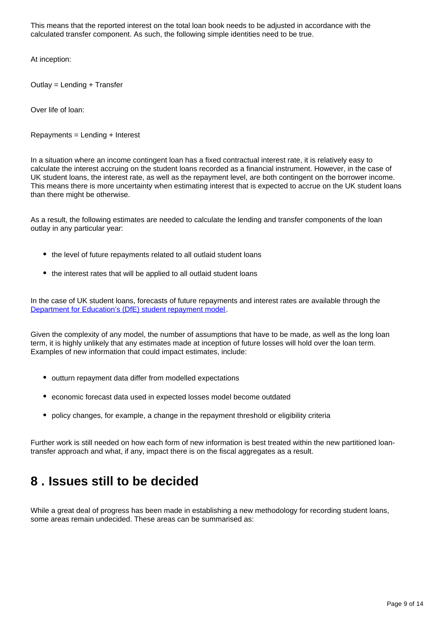This means that the reported interest on the total loan book needs to be adjusted in accordance with the calculated transfer component. As such, the following simple identities need to be true.

At inception:

Outlay = Lending + Transfer

Over life of loan:

Repayments = Lending + Interest

In a situation where an income contingent loan has a fixed contractual interest rate, it is relatively easy to calculate the interest accruing on the student loans recorded as a financial instrument. However, in the case of UK student loans, the interest rate, as well as the repayment level, are both contingent on the borrower income. This means there is more uncertainty when estimating interest that is expected to accrue on the UK student loans than there might be otherwise.

As a result, the following estimates are needed to calculate the lending and transfer components of the loan outlay in any particular year:

- the level of future repayments related to all outlaid student loans
- the interest rates that will be applied to all outlaid student loans

In the case of UK student loans, forecasts of future repayments and interest rates are available through the [Department for Education's \(DfE\) student repayment model.](https://www.gov.uk/government/statistics/student-loan-forecasts-england-2017-to-2018)

Given the complexity of any model, the number of assumptions that have to be made, as well as the long loan term, it is highly unlikely that any estimates made at inception of future losses will hold over the loan term. Examples of new information that could impact estimates, include:

- outturn repayment data differ from modelled expectations
- economic forecast data used in expected losses model become outdated
- policy changes, for example, a change in the repayment threshold or eligibility criteria

Further work is still needed on how each form of new information is best treated within the new partitioned loantransfer approach and what, if any, impact there is on the fiscal aggregates as a result.

### <span id="page-8-0"></span>**8 . Issues still to be decided**

While a great deal of progress has been made in establishing a new methodology for recording student loans, some areas remain undecided. These areas can be summarised as: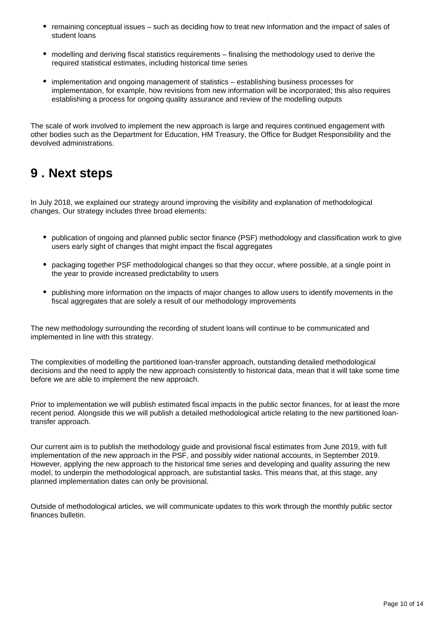- remaining conceptual issues such as deciding how to treat new information and the impact of sales of student loans
- modelling and deriving fiscal statistics requirements finalising the methodology used to derive the required statistical estimates, including historical time series
- implementation and ongoing management of statistics establishing business processes for implementation, for example, how revisions from new information will be incorporated; this also requires establishing a process for ongoing quality assurance and review of the modelling outputs

The scale of work involved to implement the new approach is large and requires continued engagement with other bodies such as the Department for Education, HM Treasury, the Office for Budget Responsibility and the devolved administrations.

### <span id="page-9-0"></span>**9 . Next steps**

In July 2018, we explained our strategy around improving the visibility and explanation of methodological changes. Our strategy includes three broad elements:

- publication of ongoing and planned public sector finance (PSF) methodology and classification work to give users early sight of changes that might impact the fiscal aggregates
- packaging together PSF methodological changes so that they occur, where possible, at a single point in the year to provide increased predictability to users
- publishing more information on the impacts of major changes to allow users to identify movements in the fiscal aggregates that are solely a result of our methodology improvements

The new methodology surrounding the recording of student loans will continue to be communicated and implemented in line with this strategy.

The complexities of modelling the partitioned loan-transfer approach, outstanding detailed methodological decisions and the need to apply the new approach consistently to historical data, mean that it will take some time before we are able to implement the new approach.

Prior to implementation we will publish estimated fiscal impacts in the public sector finances, for at least the more recent period. Alongside this we will publish a detailed methodological article relating to the new partitioned loantransfer approach.

Our current aim is to publish the methodology guide and provisional fiscal estimates from June 2019, with full implementation of the new approach in the PSF, and possibly wider national accounts, in September 2019. However, applying the new approach to the historical time series and developing and quality assuring the new model, to underpin the methodological approach, are substantial tasks. This means that, at this stage, any planned implementation dates can only be provisional.

Outside of methodological articles, we will communicate updates to this work through the monthly public sector finances bulletin.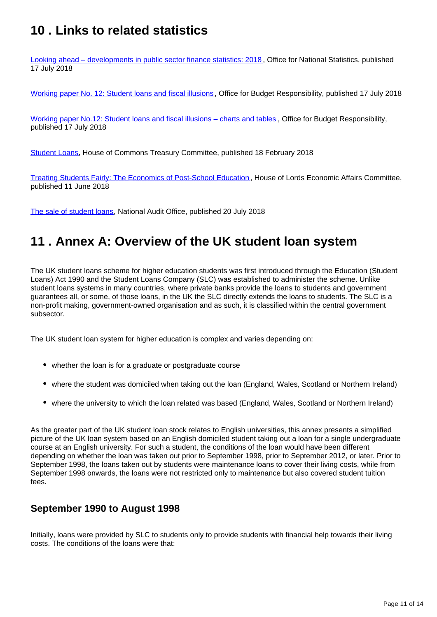## <span id="page-10-0"></span>**10 . Links to related statistics**

[Looking ahead – developments in public sector finance statistics: 2018](https://www.ons.gov.uk/economy/governmentpublicsectorandtaxes/publicsectorfinance/articles/lookingaheaddevelopmentsinpublicsectorfinancestatistics/2018) , Office for National Statistics, published 17 July 2018

[Working paper No. 12: Student loans and fiscal illusions](http://obr.uk/download/working-paper-no-12-student-loans-and-fiscal-illusions/), Office for Budget Responsibility, published 17 July 2018

[Working paper No.12: Student loans and fiscal illusions – charts and tables](http://obr.uk/download/working-paper-no-12-student-loans-fiscal-illusions-charts-tables/) , Office for Budget Responsibility, published 17 July 2018

[Student Loans](https://publications.parliament.uk/pa/cm201719/cmselect/cmtreasy/478/478.pdf), House of Commons Treasury Committee, published 18 February 2018

[Treating Students Fairly: The Economics of Post-School Education](https://publications.parliament.uk/pa/ld201719/ldselect/ldeconaf/139/139.pdf), House of Lords Economic Affairs Committee, published 11 June 2018

[The sale of student loans](https://www.nao.org.uk/report/the-sale-of-student-loans/), National Audit Office, published 20 July 2018

## <span id="page-10-1"></span>**11 . Annex A: Overview of the UK student loan system**

The UK student loans scheme for higher education students was first introduced through the Education (Student Loans) Act 1990 and the Student Loans Company (SLC) was established to administer the scheme. Unlike student loans systems in many countries, where private banks provide the loans to students and government guarantees all, or some, of those loans, in the UK the SLC directly extends the loans to students. The SLC is a non-profit making, government-owned organisation and as such, it is classified within the central government subsector.

The UK student loan system for higher education is complex and varies depending on:

- whether the loan is for a graduate or postgraduate course
- where the student was domiciled when taking out the loan (England, Wales, Scotland or Northern Ireland)
- where the university to which the loan related was based (England, Wales, Scotland or Northern Ireland)

As the greater part of the UK student loan stock relates to English universities, this annex presents a simplified picture of the UK loan system based on an English domiciled student taking out a loan for a single undergraduate course at an English university. For such a student, the conditions of the loan would have been different depending on whether the loan was taken out prior to September 1998, prior to September 2012, or later. Prior to September 1998, the loans taken out by students were maintenance loans to cover their living costs, while from September 1998 onwards, the loans were not restricted only to maintenance but also covered student tuition fees.

#### **September 1990 to August 1998**

Initially, loans were provided by SLC to students only to provide students with financial help towards their living costs. The conditions of the loans were that: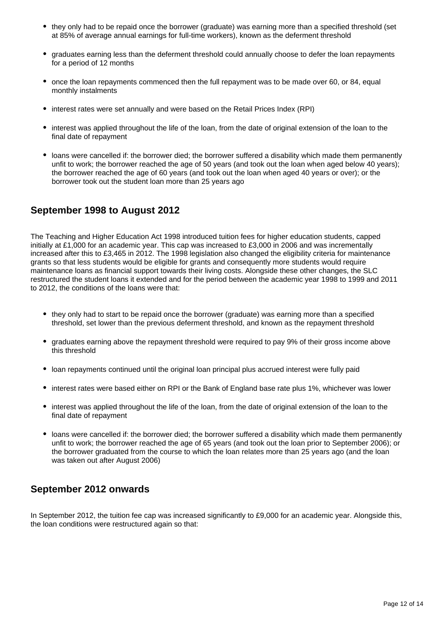- they only had to be repaid once the borrower (graduate) was earning more than a specified threshold (set at 85% of average annual earnings for full-time workers), known as the deferment threshold
- graduates earning less than the deferment threshold could annually choose to defer the loan repayments for a period of 12 months
- once the loan repayments commenced then the full repayment was to be made over 60, or 84, equal monthly instalments
- interest rates were set annually and were based on the Retail Prices Index (RPI)
- interest was applied throughout the life of the loan, from the date of original extension of the loan to the final date of repayment
- loans were cancelled if: the borrower died; the borrower suffered a disability which made them permanently unfit to work; the borrower reached the age of 50 years (and took out the loan when aged below 40 years); the borrower reached the age of 60 years (and took out the loan when aged 40 years or over); or the borrower took out the student loan more than 25 years ago

#### **September 1998 to August 2012**

The Teaching and Higher Education Act 1998 introduced tuition fees for higher education students, capped initially at £1,000 for an academic year. This cap was increased to £3,000 in 2006 and was incrementally increased after this to £3,465 in 2012. The 1998 legislation also changed the eligibility criteria for maintenance grants so that less students would be eligible for grants and consequently more students would require maintenance loans as financial support towards their living costs. Alongside these other changes, the SLC restructured the student loans it extended and for the period between the academic year 1998 to 1999 and 2011 to 2012, the conditions of the loans were that:

- they only had to start to be repaid once the borrower (graduate) was earning more than a specified threshold, set lower than the previous deferment threshold, and known as the repayment threshold
- graduates earning above the repayment threshold were required to pay 9% of their gross income above this threshold
- loan repayments continued until the original loan principal plus accrued interest were fully paid
- interest rates were based either on RPI or the Bank of England base rate plus 1%, whichever was lower
- interest was applied throughout the life of the loan, from the date of original extension of the loan to the final date of repayment
- loans were cancelled if: the borrower died; the borrower suffered a disability which made them permanently unfit to work; the borrower reached the age of 65 years (and took out the loan prior to September 2006); or the borrower graduated from the course to which the loan relates more than 25 years ago (and the loan was taken out after August 2006)

#### **September 2012 onwards**

In September 2012, the tuition fee cap was increased significantly to £9,000 for an academic year. Alongside this, the loan conditions were restructured again so that: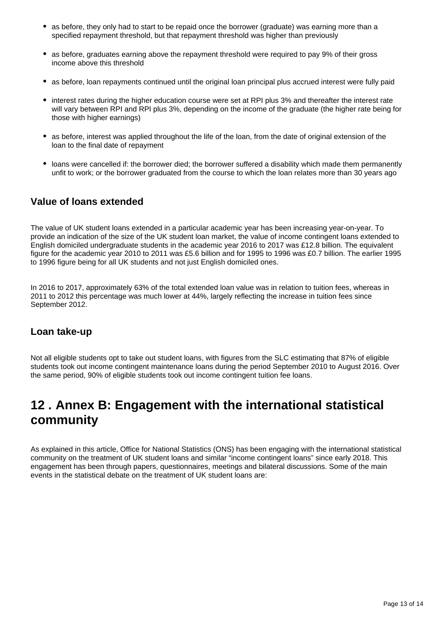- as before, they only had to start to be repaid once the borrower (graduate) was earning more than a specified repayment threshold, but that repayment threshold was higher than previously
- as before, graduates earning above the repayment threshold were required to pay 9% of their gross income above this threshold
- as before, loan repayments continued until the original loan principal plus accrued interest were fully paid
- interest rates during the higher education course were set at RPI plus 3% and thereafter the interest rate will vary between RPI and RPI plus 3%, depending on the income of the graduate (the higher rate being for those with higher earnings)
- as before, interest was applied throughout the life of the loan, from the date of original extension of the loan to the final date of repayment
- loans were cancelled if: the borrower died; the borrower suffered a disability which made them permanently unfit to work; or the borrower graduated from the course to which the loan relates more than 30 years ago

#### **Value of loans extended**

The value of UK student loans extended in a particular academic year has been increasing year-on-year. To provide an indication of the size of the UK student loan market, the value of income contingent loans extended to English domiciled undergraduate students in the academic year 2016 to 2017 was £12.8 billion. The equivalent figure for the academic year 2010 to 2011 was £5.6 billion and for 1995 to 1996 was £0.7 billion. The earlier 1995 to 1996 figure being for all UK students and not just English domiciled ones.

In 2016 to 2017, approximately 63% of the total extended loan value was in relation to tuition fees, whereas in 2011 to 2012 this percentage was much lower at 44%, largely reflecting the increase in tuition fees since September 2012.

#### **Loan take-up**

Not all eligible students opt to take out student loans, with figures from the SLC estimating that 87% of eligible students took out income contingent maintenance loans during the period September 2010 to August 2016. Over the same period, 90% of eligible students took out income contingent tuition fee loans.

## <span id="page-12-0"></span>**12 . Annex B: Engagement with the international statistical community**

As explained in this article, Office for National Statistics (ONS) has been engaging with the international statistical community on the treatment of UK student loans and similar "income contingent loans" since early 2018. This engagement has been through papers, questionnaires, meetings and bilateral discussions. Some of the main events in the statistical debate on the treatment of UK student loans are: